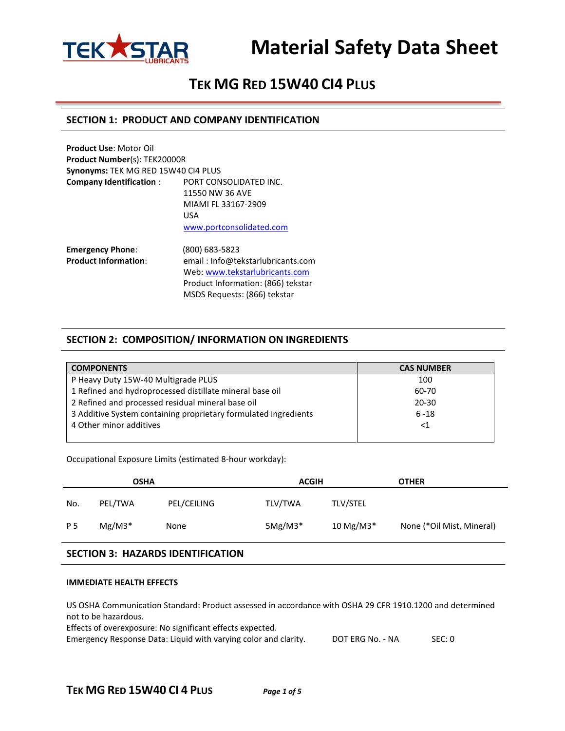

# **Material Safety Data Sheet**

## **TEK MG RED 15W40 CI4 PLUS**

## **SECTION 1: PRODUCT AND COMPANY IDENTIFICATION**

**Product Use**: Motor Oil **Product Number**(s): TEK20000R **Synonyms:** TEK MG RED 15W40 CI4 PLUS **Company Identification** : PORT CONSOLIDATED INC. 11550 NW 36 AVE MIAMI FL 33167-2909 USA [www.portconsolidated.com](http://www.portconsolidated.com/)

**Emergency Phone**: (800) 683-5823 **Product Information**: email : Info@tekstarlubricants.com Web: [www.tekstarlubricants.com](http://www.tekstarlubricants.com/) Product Information: (866) tekstar MSDS Requests: (866) tekstar

## **SECTION 2: COMPOSITION/ INFORMATION ON INGREDIENTS**

| <b>COMPONENTS</b>                                               | <b>CAS NUMBER</b> |
|-----------------------------------------------------------------|-------------------|
| P Heavy Duty 15W-40 Multigrade PLUS                             | 100               |
| 1 Refined and hydroprocessed distillate mineral base oil        | 60-70             |
| 2 Refined and processed residual mineral base oil               | $20 - 30$         |
| 3 Additive System containing proprietary formulated ingredients | $6 - 18$          |
| 4 Other minor additives                                         | $<$ 1             |
|                                                                 |                   |

Occupational Exposure Limits (estimated 8-hour workday):

| <b>OSHA</b> |          |             | <b>ACGIH</b> |                 | <b>OTHER</b>              |  |
|-------------|----------|-------------|--------------|-----------------|---------------------------|--|
| No.         | PEL/TWA  | PEL/CEILING | TLV/TWA      | <b>TLV/STEL</b> |                           |  |
| P 5         | $Mg/M3*$ | None        | $5Mg/M3*$    | 10 Mg/M3*       | None (*Oil Mist, Mineral) |  |

## **SECTION 3: HAZARDS IDENTIFICATION**

#### **IMMEDIATE HEALTH EFFECTS**

US OSHA Communication Standard: Product assessed in accordance with OSHA 29 CFR 1910.1200 and determined not to be hazardous.

Effects of overexposure: No significant effects expected.

Emergency Response Data: Liquid with varying color and clarity. DOT ERG No. - NA SEC: 0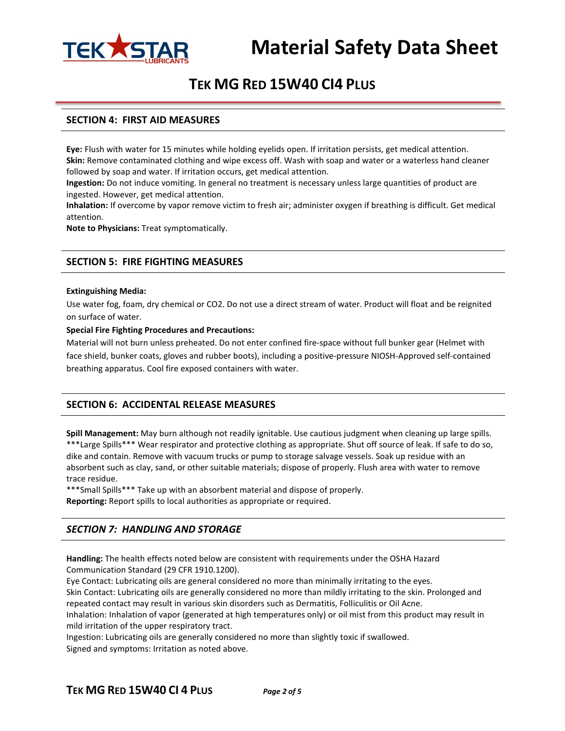

## **TEK MG RED 15W40 CI4 PLUS**

## **SECTION 4: FIRST AID MEASURES**

**Eye:** Flush with water for 15 minutes while holding eyelids open. If irritation persists, get medical attention. **Skin:** Remove contaminated clothing and wipe excess off. Wash with soap and water or a waterless hand cleaner followed by soap and water. If irritation occurs, get medical attention.

**Ingestion:** Do not induce vomiting. In general no treatment is necessary unless large quantities of product are ingested. However, get medical attention.

**Inhalation:** If overcome by vapor remove victim to fresh air; administer oxygen if breathing is difficult. Get medical attention.

**Note to Physicians:** Treat symptomatically.

## **SECTION 5: FIRE FIGHTING MEASURES**

#### **Extinguishing Media:**

Use water fog, foam, dry chemical or CO2. Do not use a direct stream of water. Product will float and be reignited on surface of water.

#### **Special Fire Fighting Procedures and Precautions:**

Material will not burn unless preheated. Do not enter confined fire-space without full bunker gear (Helmet with face shield, bunker coats, gloves and rubber boots), including a positive-pressure NIOSH-Approved self-contained breathing apparatus. Cool fire exposed containers with water.

## **SECTION 6: ACCIDENTAL RELEASE MEASURES**

**Spill Management:** May burn although not readily ignitable. Use cautious judgment when cleaning up large spills. \*\*\*Large Spills\*\*\* Wear respirator and protective clothing as appropriate. Shut off source of leak. If safe to do so, dike and contain. Remove with vacuum trucks or pump to storage salvage vessels. Soak up residue with an absorbent such as clay, sand, or other suitable materials; dispose of properly. Flush area with water to remove trace residue.

\*\*\*Small Spills\*\*\* Take up with an absorbent material and dispose of properly.

**Reporting:** Report spills to local authorities as appropriate or required.

## *SECTION 7: HANDLING AND STORAGE*

**Handling:** The health effects noted below are consistent with requirements under the OSHA Hazard Communication Standard (29 CFR 1910.1200).

Eye Contact: Lubricating oils are general considered no more than minimally irritating to the eyes. Skin Contact: Lubricating oils are generally considered no more than mildly irritating to the skin. Prolonged and repeated contact may result in various skin disorders such as Dermatitis, Folliculitis or Oil Acne. Inhalation: Inhalation of vapor (generated at high temperatures only) or oil mist from this product may result in mild irritation of the upper respiratory tract.

Ingestion: Lubricating oils are generally considered no more than slightly toxic if swallowed. Signed and symptoms: Irritation as noted above.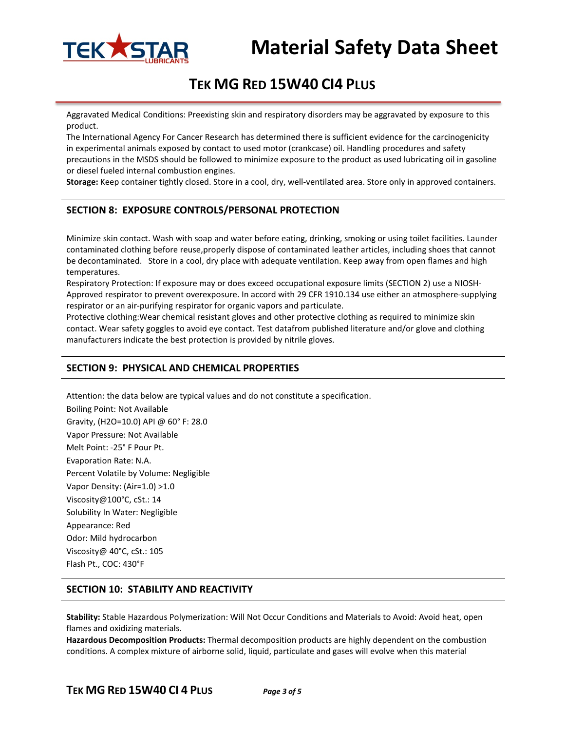

# **Material Safety Data Sheet**

# **TEK MG RED 15W40 CI4 PLUS**

Aggravated Medical Conditions: Preexisting skin and respiratory disorders may be aggravated by exposure to this product.

The International Agency For Cancer Research has determined there is sufficient evidence for the carcinogenicity in experimental animals exposed by contact to used motor (crankcase) oil. Handling procedures and safety precautions in the MSDS should be followed to minimize exposure to the product as used lubricating oil in gasoline or diesel fueled internal combustion engines.

**Storage:** Keep container tightly closed. Store in a cool, dry, well-ventilated area. Store only in approved containers.

## **SECTION 8: EXPOSURE CONTROLS/PERSONAL PROTECTION**

Minimize skin contact. Wash with soap and water before eating, drinking, smoking or using toilet facilities. Launder contaminated clothing before reuse,properly dispose of contaminated leather articles, including shoes that cannot be decontaminated. Store in a cool, dry place with adequate ventilation. Keep away from open flames and high temperatures.

Respiratory Protection: If exposure may or does exceed occupational exposure limits (SECTION 2) use a NIOSH-Approved respirator to prevent overexposure. In accord with 29 CFR 1910.134 use either an atmosphere-supplying respirator or an air-purifying respirator for organic vapors and particulate.

Protective clothing:Wear chemical resistant gloves and other protective clothing as required to minimize skin contact. Wear safety goggles to avoid eye contact. Test datafrom published literature and/or glove and clothing manufacturers indicate the best protection is provided by nitrile gloves.

## **SECTION 9: PHYSICAL AND CHEMICAL PROPERTIES**

Attention: the data below are typical values and do not constitute a specification.

Boiling Point: Not Available Gravity, (H2O=10.0) API @ 60° F: 28.0 Vapor Pressure: Not Available Melt Point: -25° F Pour Pt. Evaporation Rate: N.A. Percent Volatile by Volume: Negligible Vapor Density: (Air=1.0) >1.0 Viscosity@100°C, cSt.: 14 Solubility In Water: Negligible Appearance: Red Odor: Mild hydrocarbon Viscosity@ 40°C, cSt.: 105 Flash Pt., COC: 430°F

## **SECTION 10: STABILITY AND REACTIVITY**

**Stability:** Stable Hazardous Polymerization: Will Not Occur Conditions and Materials to Avoid: Avoid heat, open flames and oxidizing materials.

**Hazardous Decomposition Products:** Thermal decomposition products are highly dependent on the combustion conditions. A complex mixture of airborne solid, liquid, particulate and gases will evolve when this material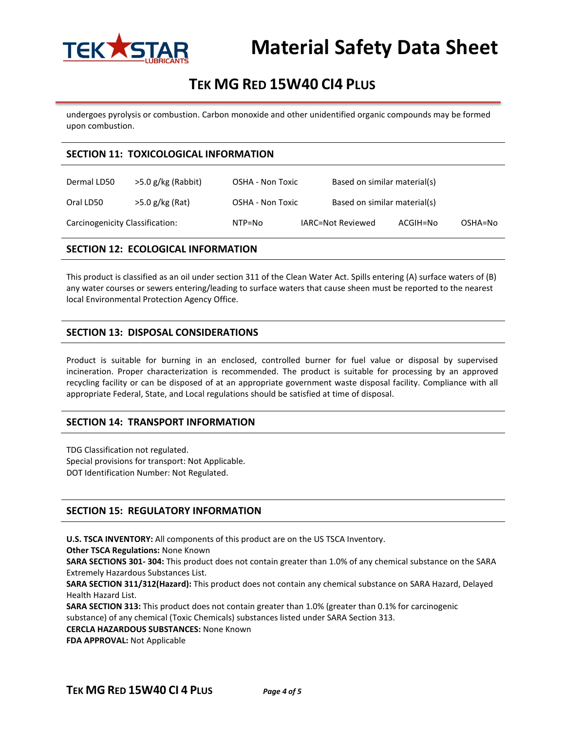

# **TEK MG RED 15W40 CI4 PLUS**

undergoes pyrolysis or combustion. Carbon monoxide and other unidentified organic compounds may be formed upon combustion.

## **SECTION 11: TOXICOLOGICAL INFORMATION**

| Dermal LD50                     | $>5.0$ g/kg (Rabbit) | OSHA - Non Toxic |                   | Based on similar material(s) |          |         |
|---------------------------------|----------------------|------------------|-------------------|------------------------------|----------|---------|
| Oral LD50                       | >5.0 g/kg (Rat)      | OSHA - Non Toxic |                   | Based on similar material(s) |          |         |
| Carcinogenicity Classification: |                      | NTP=No           | IARC=Not Reviewed |                              | ACGIH=No | OSHA=No |

## **SECTION 12: ECOLOGICAL INFORMATION**

This product is classified as an oil under section 311 of the Clean Water Act. Spills entering (A) surface waters of (B) any water courses or sewers entering/leading to surface waters that cause sheen must be reported to the nearest local Environmental Protection Agency Office.

## **SECTION 13: DISPOSAL CONSIDERATIONS**

Product is suitable for burning in an enclosed, controlled burner for fuel value or disposal by supervised incineration. Proper characterization is recommended. The product is suitable for processing by an approved recycling facility or can be disposed of at an appropriate government waste disposal facility. Compliance with all appropriate Federal, State, and Local regulations should be satisfied at time of disposal.

## **SECTION 14: TRANSPORT INFORMATION**

TDG Classification not regulated. Special provisions for transport: Not Applicable. DOT Identification Number: Not Regulated.

## **SECTION 15: REGULATORY INFORMATION**

**U.S. TSCA INVENTORY:** All components of this product are on the US TSCA Inventory.

**Other TSCA Regulations:** None Known

**SARA SECTIONS 301- 304:** This product does not contain greater than 1.0% of any chemical substance on the SARA Extremely Hazardous Substances List.

**SARA SECTION 311/312(Hazard):** This product does not contain any chemical substance on SARA Hazard, Delayed Health Hazard List.

**SARA SECTION 313:** This product does not contain greater than 1.0% (greater than 0.1% for carcinogenic substance) of any chemical (Toxic Chemicals) substances listed under SARA Section 313.

**CERCLA HAZARDOUS SUBSTANCES:** None Known

**FDA APPROVAL:** Not Applicable